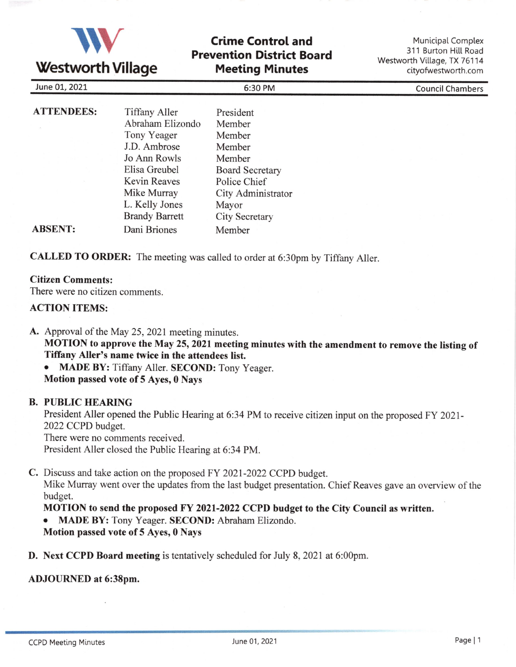

# Crime Control and Prevention District Board Meeting Minutes

Municipal Complex 311 Burton Hill Road Westworth Village, TX 76114 cityofwestworth.com

| June 01, 2021     |                       | 6:30 PM                | <b>Council Chambers</b> |  |
|-------------------|-----------------------|------------------------|-------------------------|--|
| <b>ATTENDEES:</b> | <b>Tiffany Aller</b>  | President              |                         |  |
|                   | Abraham Elizondo      | Member                 |                         |  |
|                   | Tony Yeager           | Member                 |                         |  |
|                   | J.D. Ambrose          | Member                 |                         |  |
|                   | Jo Ann Rowls          | Member                 |                         |  |
|                   | Elisa Greubel         | <b>Board Secretary</b> |                         |  |
|                   | Kevin Reaves          | Police Chief           |                         |  |
|                   | Mike Murray           | City Administrator     |                         |  |
|                   | L. Kelly Jones        | Mayor                  |                         |  |
|                   | <b>Brandy Barrett</b> | <b>City Secretary</b>  |                         |  |
| <b>ABSENT:</b>    | Dani Briones          | Member                 |                         |  |

CALLED TO ORDER: The meeting was called to order at 6:30pm by Tiffany Aller.

#### Citizen Comments:

There were no citizen comments.

### ACTION ITEMS:

A. Approval of the May 25, 2021 meeting minutes.

MOTION to approve the May 25, 2021 meeting minutes with the amendment to remove the listing of Tiffany Aller's name twice in the attendees list.

MADE BY: Tiffany Aller. SECOND: Tony Yeager.

Motion passed vote of 5 Ayes, 0 Nays

## B. PUBLIC HEARING

President Aller opened the Public Hearing at 6:34 PM to receive citizen input on the proposed FY 2021- 2022 CCPD budget.

There were no comments received.

President Aller closed the Public Hearing at 6:34 PM.

C. Discuss and take action on the proposed FY 2021-2022 CCPD budget.

Mike Murray went over the updates from the last budget presentation. Chief Reaves gave an overview of the budget.

## MOTION to send the proposed FY 2021-2022 CCPD budget to the City Council as written.

o MADE BY: Tony Yeager. SECOND: Abraham Elizondo.

Motion passed vote of 5 Ayes, 0 Nays

**D.** Next CCPD Board meeting is tentatively scheduled for July 8, 2021 at 6:00pm.

#### ADJOURNED at 6:38pm.